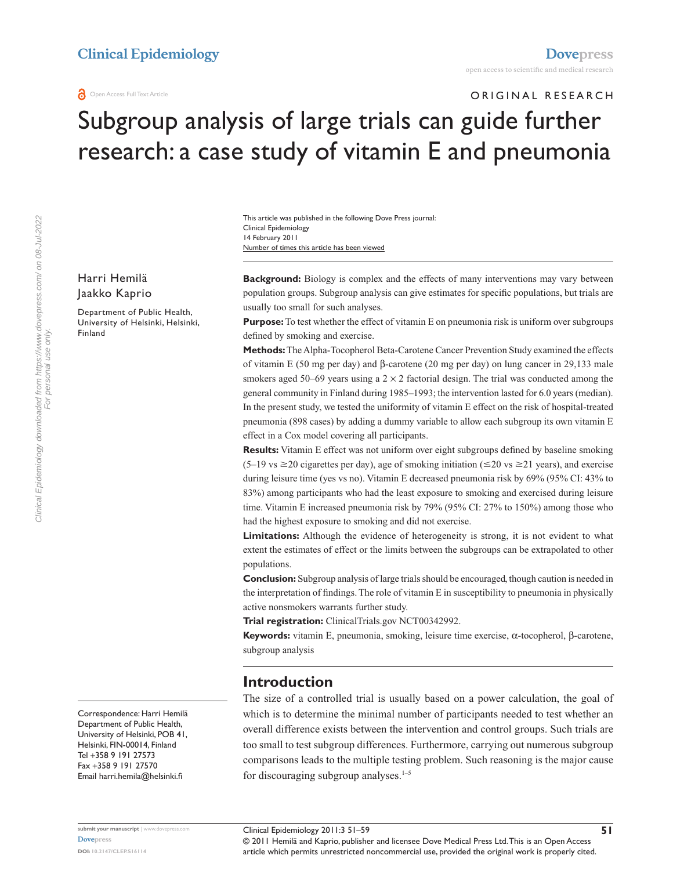# ORIGINAL RESEARCH

# Subgroup analysis of large trials can guide further research: a case study of vitamin E and pneumonia

Number of times this article has been viewed This article was published in the following Dove Press journal: Clinical Epidemiology 14 February 2011

Harri Hemilä Jaakko Kaprio

Department of Public Health, University of Helsinki, Helsinki, Finland

**Background:** Biology is complex and the effects of many interventions may vary between population groups. Subgroup analysis can give estimates for specific populations, but trials are usually too small for such analyses.

**Purpose:** To test whether the effect of vitamin E on pneumonia risk is uniform over subgroups defined by smoking and exercise.

**Methods:** The Alpha-Tocopherol Beta-Carotene Cancer Prevention Study examined the effects of vitamin E (50 mg per day) and β-carotene (20 mg per day) on lung cancer in 29,133 male smokers aged 50–69 years using a  $2 \times 2$  factorial design. The trial was conducted among the general community in Finland during 1985–1993; the intervention lasted for 6.0 years (median). In the present study, we tested the uniformity of vitamin E effect on the risk of hospital-treated pneumonia (898 cases) by adding a dummy variable to allow each subgroup its own vitamin E effect in a Cox model covering all participants.

**Results:** Vitamin E effect was not uniform over eight subgroups defined by baseline smoking  $(5-19 \text{ vs } \geq 20 \text{ eigenettes per day})$ , age of smoking initiation ( $\leq 20 \text{ vs } \geq 21 \text{ years}$ ), and exercise during leisure time (yes vs no). Vitamin E decreased pneumonia risk by 69% (95% CI: 43% to 83%) among participants who had the least exposure to smoking and exercised during leisure time. Vitamin E increased pneumonia risk by 79% (95% CI: 27% to 150%) among those who had the highest exposure to smoking and did not exercise.

**Limitations:** Although the evidence of heterogeneity is strong, it is not evident to what extent the estimates of effect or the limits between the subgroups can be extrapolated to other populations.

**Conclusion:** Subgroup analysis of large trials should be encouraged, though caution is needed in the interpretation of findings. The role of vitamin E in susceptibility to pneumonia in physically active nonsmokers warrants further study.

**Trial registration:** ClinicalTrials.gov NCT00342992.

**Keywords:** vitamin E, pneumonia, smoking, leisure time exercise, α-tocopherol, β-carotene, subgroup analysis

# **Introduction**

The size of a controlled trial is usually based on a power calculation, the goal of which is to determine the minimal number of participants needed to test whether an overall difference exists between the intervention and control groups. Such trials are too small to test subgroup differences. Furthermore, carrying out numerous subgroup comparisons leads to the multiple testing problem. Such reasoning is the major cause for discouraging subgroup analyses. $1-5$ 

Correspondence: Harri Hemilä Department of Public Health, University of Helsinki, POB 41, Helsinki, FIN-00014, Finland Tel +358 9 191 27573 Fax +358 9 191 27570 Email [harri.hemila@helsinki.fi](mailto:harri.hemila@helsinki.fi)

**[Dovepress](www.dovepress.com) DOI: 10.2147/CLEP.S16114**

submit your manuscript | <www.dovepress.com>

© 2011 Hemilä and Kaprio, publisher and licensee Dove Medical Press Ltd. This is an Open Access article which permits unrestricted noncommercial use, provided the original work is properly cited.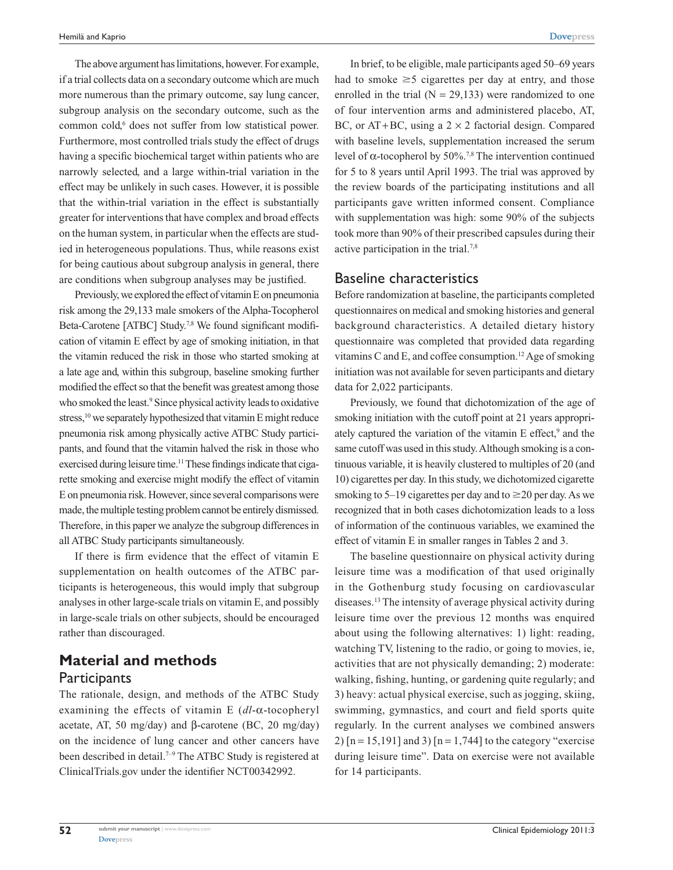The above argument has limitations, however. For example, if a trial collects data on a secondary outcome which are much more numerous than the primary outcome, say lung cancer, subgroup analysis on the secondary outcome, such as the common cold,<sup>6</sup> does not suffer from low statistical power. Furthermore, most controlled trials study the effect of drugs having a specific biochemical target within patients who are narrowly selected, and a large within-trial variation in the effect may be unlikely in such cases. However, it is possible that the within-trial variation in the effect is substantially greater for interventions that have complex and broad effects on the human system, in particular when the effects are studied in heterogeneous populations. Thus, while reasons exist for being cautious about subgroup analysis in general, there are conditions when subgroup analyses may be justified.

Previously, we explored the effect of vitamin E on pneumonia risk among the 29,133 male smokers of the Alpha-Tocopherol Beta-Carotene [ATBC] Study.<sup>7,8</sup> We found significant modification of vitamin E effect by age of smoking initiation, in that the vitamin reduced the risk in those who started smoking at a late age and, within this subgroup, baseline smoking further modified the effect so that the benefit was greatest among those who smoked the least.<sup>9</sup> Since physical activity leads to oxidative stress,<sup>10</sup> we separately hypothesized that vitamin E might reduce pneumonia risk among physically active ATBC Study participants, and found that the vitamin halved the risk in those who exercised during leisure time.<sup>11</sup> These findings indicate that cigarette smoking and exercise might modify the effect of vitamin E on pneumonia risk. However, since several comparisons were made, the multiple testing problem cannot be entirely dismissed. Therefore, in this paper we analyze the subgroup differences in all ATBC Study participants simultaneously.

If there is firm evidence that the effect of vitamin E supplementation on health outcomes of the ATBC participants is heterogeneous, this would imply that subgroup analyses in other large-scale trials on vitamin E, and possibly in large-scale trials on other subjects, should be encouraged rather than discouraged.

# **Material and methods Participants**

The rationale, design, and methods of the ATBC Study examining the effects of vitamin E (*dl*-α-tocopheryl acetate, AT, 50 mg/day) and β-carotene (BC, 20 mg/day) on the incidence of lung cancer and other cancers have been described in detail.<sup>7-9</sup> The ATBC Study is registered at ClinicalTrials.gov under the identifier NCT00342992.

In brief, to be eligible, male participants aged 50–69 years had to smoke  $\geq$ 5 cigarettes per day at entry, and those enrolled in the trial  $(N = 29,133)$  were randomized to one of four intervention arms and administered placebo, AT, BC, or  $AT+BC$ , using a  $2 \times 2$  factorial design. Compared with baseline levels, supplementation increased the serum level of  $\alpha$ -tocopherol by 50%.<sup>7,8</sup> The intervention continued for 5 to 8 years until April 1993. The trial was approved by the review boards of the participating institutions and all participants gave written informed consent. Compliance with supplementation was high: some 90% of the subjects took more than 90% of their prescribed capsules during their active participation in the trial.7,8

## Baseline characteristics

Before randomization at baseline, the participants completed questionnaires on medical and smoking histories and general background characteristics. A detailed dietary history questionnaire was completed that provided data regarding vitamins C and E, and coffee consumption.12 Age of smoking initiation was not available for seven participants and dietary data for 2,022 participants.

Previously, we found that dichotomization of the age of smoking initiation with the cutoff point at 21 years appropriately captured the variation of the vitamin E effect,<sup>9</sup> and the same cutoff was used in this study. Although smoking is a continuous variable, it is heavily clustered to multiples of 20 (and 10) cigarettes per day. In this study, we dichotomized cigarette smoking to  $5-19$  cigarettes per day and to  $\geq$  20 per day. As we recognized that in both cases dichotomization leads to a loss of information of the continuous variables, we examined the effect of vitamin E in smaller ranges in Tables 2 and 3.

The baseline questionnaire on physical activity during leisure time was a modification of that used originally in the Gothenburg study focusing on cardiovascular diseases.13 The intensity of average physical activity during leisure time over the previous 12 months was enquired about using the following alternatives: 1) light: reading, watching TV, listening to the radio, or going to movies, ie, activities that are not physically demanding; 2) moderate: walking, fishing, hunting, or gardening quite regularly; and 3) heavy: actual physical exercise, such as jogging, skiing, swimming, gymnastics, and court and field sports quite regularly. In the current analyses we combined answers 2)  $[n = 15,191]$  and 3)  $[n = 1,744]$  to the category "exercise" during leisure time". Data on exercise were not available for 14 participants.

**52**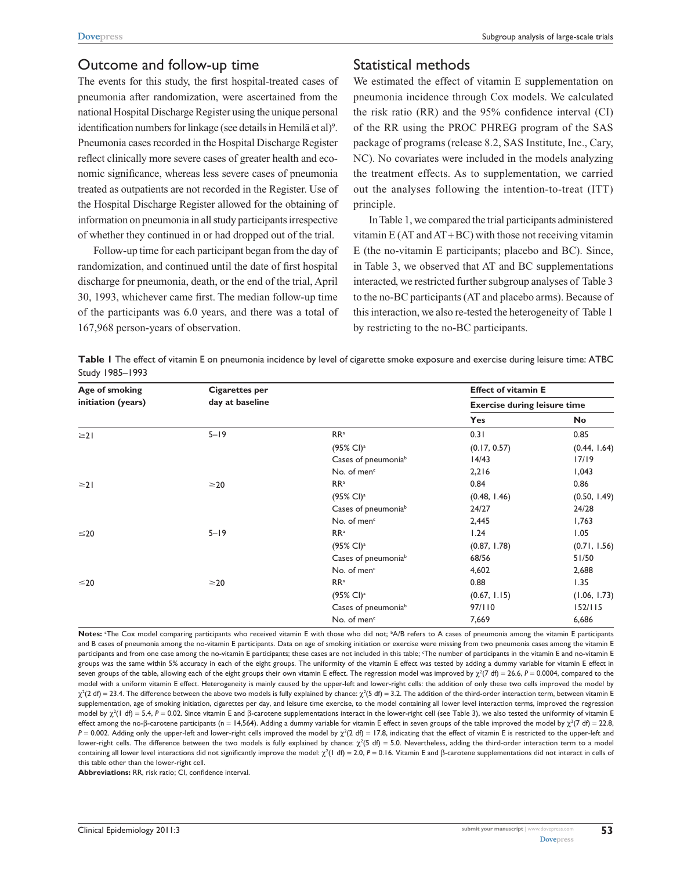## Outcome and follow-up time

Statistical methods

The events for this study, the first hospital-treated cases of pneumonia after randomization, were ascertained from the national Hospital Discharge Register using the unique personal identification numbers for linkage (see details in Hemilä et al)<sup>9</sup>. Pneumonia cases recorded in the Hospital Discharge Register reflect clinically more severe cases of greater health and economic significance, whereas less severe cases of pneumonia treated as outpatients are not recorded in the Register. Use of the Hospital Discharge Register allowed for the obtaining of information on pneumonia in all study participants irrespective of whether they continued in or had dropped out of the trial.

Follow-up time for each participant began from the day of randomization, and continued until the date of first hospital discharge for pneumonia, death, or the end of the trial, April 30, 1993, whichever came first. The median follow-up time of the participants was 6.0 years, and there was a total of 167,968 person-years of observation.

We estimated the effect of vitamin E supplementation on pneumonia incidence through Cox models. We calculated the risk ratio (RR) and the 95% confidence interval (CI) of the RR using the PROC PHREG program of the SAS package of programs (release 8.2, SAS Institute, Inc., Cary, NC). No covariates were included in the models analyzing the treatment effects. As to supplementation, we carried out the analyses following the intention-to-treat (ITT) principle.

In Table 1, we compared the trial participants administered vitamin  $E(AT \text{ and } AT + BC)$  with those not receiving vitamin E (the no-vitamin E participants; placebo and BC). Since, in Table 3, we observed that AT and BC supplementations interacted, we restricted further subgroup analyses of Table 3 to the no-BC participants (AT and placebo arms). Because of this interaction, we also re-tested the heterogeneity of Table 1 by restricting to the no-BC participants.

**Table 1** The effect of vitamin E on pneumonia incidence by level of cigarette smoke exposure and exercise during leisure time: ATBC Study 1985–1993

| Age of smoking     | Cigarettes per  |                                 | <b>Effect of vitamin E</b>          |              |
|--------------------|-----------------|---------------------------------|-------------------------------------|--------------|
| initiation (years) | day at baseline |                                 | <b>Exercise during leisure time</b> |              |
|                    |                 |                                 | Yes                                 | <b>No</b>    |
| $\geq$ 1           | $5 - 19$        | RR <sup>a</sup>                 | 0.31                                | 0.85         |
|                    |                 | (95% CI) <sup>a</sup>           | (0.17, 0.57)                        | (0.44, 1.64) |
|                    |                 | Cases of pneumonia <sup>b</sup> | 14/43                               | 17/19        |
|                    |                 | No. of men <sup>c</sup>         | 2,216                               | 1,043        |
| $\geq$ 1           | $\geq$ 20       | RR <sup>a</sup>                 | 0.84                                | 0.86         |
|                    |                 | (95% CI) <sup>a</sup>           | (0.48, 1.46)                        | (0.50, 1.49) |
|                    |                 | Cases of pneumoniab             | 24/27                               | 24/28        |
|                    |                 | No. of men <sup>c</sup>         | 2,445                               | 1,763        |
| $\leq$ 20          | $5 - 19$        | RR <sup>a</sup>                 | 1.24                                | 1.05         |
|                    |                 | (95% CI) <sup>a</sup>           | (0.87, 1.78)                        | (0.71, 1.56) |
|                    |                 | Cases of pneumonia <sup>b</sup> | 68/56                               | 51/50        |
|                    |                 | No. of men <sup>c</sup>         | 4,602                               | 2,688        |
| $\leq$ 20          | $\geq$ 20       | RR <sup>a</sup>                 | 0.88                                | 1.35         |
|                    |                 | (95% CI) <sup>a</sup>           | (0.67, 1.15)                        | (1.06, 1.73) |
|                    |                 | Cases of pneumonia <sup>b</sup> | 97/110                              | 152/115      |
|                    |                 | No. of men <sup>c</sup>         | 7,669                               | 6,686        |

Notes: <sup>a</sup>The Cox model comparing participants who received vitamin E with those who did not; <sup>b</sup>A/B refers to A cases of pneumonia among the vitamin E participants and B cases of pneumonia among the no-vitamin E participants. Data on age of smoking initiation or exercise were missing from two pneumonia cases among the vitamin E participants and from one case among the no-vitamin E participants; these cases are not included in this table; 'The number of participants in the vitamin E and no-vitamin E groups was the same within 5% accuracy in each of the eight groups. The uniformity of the vitamin E effect was tested by adding a dummy variable for vitamin E effect in seven groups of the table, allowing each of the eight groups their own vitamin E effect. The regression model was improved by  $\chi^2(7\text{ df}) = 26.6$ ,  $P = 0.0004$ , compared to the model with a uniform vitamin E effect. Heterogeneity is mainly caused by the upper-left and lower-right cells: the addition of only these two cells improved the model by  $\chi^2$ (2 df) = 23.4. The difference between the above two models is fully explained by chance: χ $^2$ (5 df) = 3.2. The addition of the third-order interaction term, between vitamin E supplementation, age of smoking initiation, cigarettes per day, and leisure time exercise, to the model containing all lower level interaction terms, improved the regression model by χ<sup>2</sup>(1 df) = 5.4, P = 0.02. Since vitamin E and β-carotene supplementations interact in the lower-right cell (see Table 3), we also tested the uniformity of vitamin E effect among the no-β-carotene participants (n = 14,564). Adding a dummy variable for vitamin E effect in seven groups of the table improved the model by  $\chi^2(7\text{ d}t)=22.8$ ,  $P = 0.002$ . Adding only the upper-left and lower-right cells improved the model by  $\chi^2(2\; df) = 17.8$ , indicating that the effect of vitamin E is restricted to the upper-left and lower-right cells. The difference between the two models is fully explained by chance:  $\chi^2(5 \text{ df}) = 5.0$ . Nevertheless, adding the third-order interaction term to a model containing all lower level interactions did not significantly improve the model:  $\chi^2(1\text{ df}) = 2.0$ ,  $P = 0.16$ . Vitamin E and β-carotene supplementations did not interact in cells of this table other than the lower-right cell.

**Abbreviations:** RR, risk ratio; CI, confidence interval.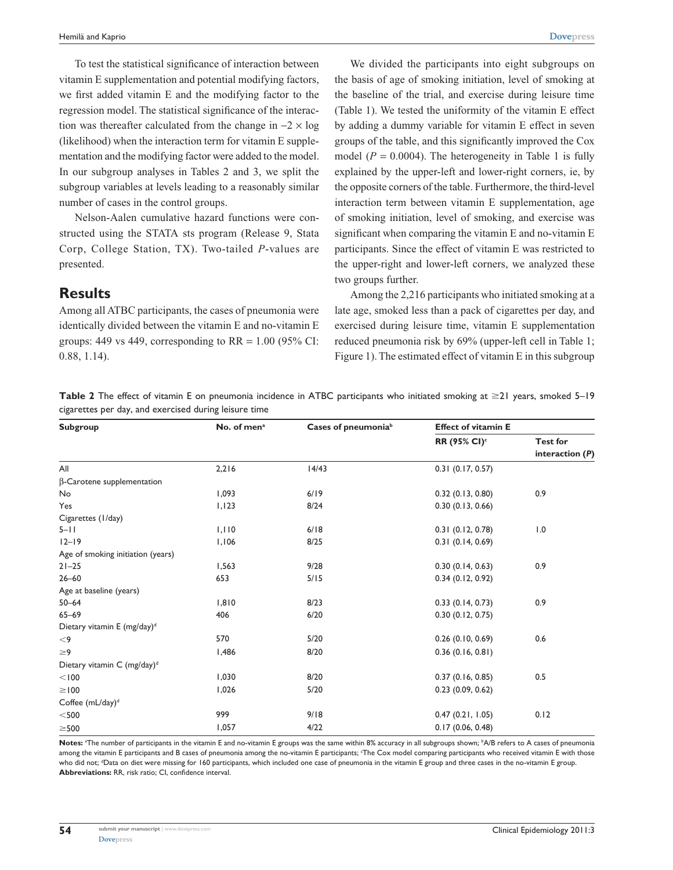To test the statistical significance of interaction between vitamin E supplementation and potential modifying factors, we first added vitamin E and the modifying factor to the regression model. The statistical significance of the interaction was thereafter calculated from the change in  $-2 \times \log$ (likelihood) when the interaction term for vitamin E supplementation and the modifying factor were added to the model. In our subgroup analyses in Tables 2 and 3, we split the subgroup variables at levels leading to a reasonably similar number of cases in the control groups.

Nelson-Aalen cumulative hazard functions were constructed using the STATA sts program (Release 9, Stata Corp, College Station, TX). Two-tailed *P*-values are presented.

## **Results**

Among all ATBC participants, the cases of pneumonia were identically divided between the vitamin E and no-vitamin E groups: 449 vs 449, corresponding to  $RR = 1.00$  (95% CI: 0.88, 1.14).

We divided the participants into eight subgroups on the basis of age of smoking initiation, level of smoking at the baseline of the trial, and exercise during leisure time (Table 1). We tested the uniformity of the vitamin E effect by adding a dummy variable for vitamin E effect in seven groups of the table, and this significantly improved the Cox model ( $P = 0.0004$ ). The heterogeneity in Table 1 is fully explained by the upper-left and lower-right corners, ie, by the opposite corners of the table. Furthermore, the third-level interaction term between vitamin E supplementation, age of smoking initiation, level of smoking, and exercise was significant when comparing the vitamin E and no-vitamin E participants. Since the effect of vitamin E was restricted to the upper-right and lower-left corners, we analyzed these two groups further.

Among the 2,216 participants who initiated smoking at a late age, smoked less than a pack of cigarettes per day, and exercised during leisure time, vitamin E supplementation reduced pneumonia risk by 69% (upper-left cell in Table 1; Figure 1). The estimated effect of vitamin E in this subgroup

**Table 2** The effect of vitamin E on pneumonia incidence in ATBC participants who initiated smoking at  $\geq$  21 years, smoked 5–19 cigarettes per day, and exercised during leisure time

| Subgroup                                | No. of men <sup>a</sup> | Cases of pneumoniab | <b>Effect of vitamin E</b>     |                                    |  |
|-----------------------------------------|-------------------------|---------------------|--------------------------------|------------------------------------|--|
|                                         |                         |                     | <b>RR (95% CI)<sup>c</sup></b> | <b>Test for</b><br>interaction (P) |  |
|                                         |                         |                     |                                |                                    |  |
| All                                     | 2,216                   | 14/43               | 0.31(0.17, 0.57)               |                                    |  |
| $\beta$ -Carotene supplementation       |                         |                     |                                |                                    |  |
| No                                      | 1,093                   | 6/19                | 0.32(0.13, 0.80)               | 0.9                                |  |
| Yes                                     | 1,123                   | 8/24                | 0.30(0.13, 0.66)               |                                    |  |
| Cigarettes (I/day)                      |                         |                     |                                |                                    |  |
| $5 - 11$                                | 1,110                   | 6/18                | 0.31(0.12, 0.78)               | 1.0                                |  |
| $12 - 19$                               | 1,106                   | 8/25                | 0.31(0.14, 0.69)               |                                    |  |
| Age of smoking initiation (years)       |                         |                     |                                |                                    |  |
| $21 - 25$                               | 1,563                   | 9/28                | 0.30(0.14, 0.63)               | 0.9                                |  |
| $26 - 60$                               | 653                     | 5/15                | 0.34(0.12, 0.92)               |                                    |  |
| Age at baseline (years)                 |                         |                     |                                |                                    |  |
| $50 - 64$                               | 1,810                   | 8/23                | 0.33(0.14, 0.73)               | 0.9                                |  |
| $65 - 69$                               | 406                     | 6/20                | 0.30(0.12, 0.75)               |                                    |  |
| Dietary vitamin E (mg/day) <sup>d</sup> |                         |                     |                                |                                    |  |
| $<$ 9                                   | 570                     | 5/20                | $0.26$ (0.10, 0.69)            | 0.6                                |  |
| $\geq$ 9                                | 1,486                   | 8/20                | 0.36(0.16, 0.81)               |                                    |  |
| Dietary vitamin C (mg/day) <sup>d</sup> |                         |                     |                                |                                    |  |
| < 100                                   | 1,030                   | 8/20                | 0.37(0.16, 0.85)               | 0.5                                |  |
| $\geq$ 100                              | 1,026                   | 5/20                | $0.23$ (0.09, 0.62)            |                                    |  |
| Coffee (mL/day) <sup>d</sup>            |                         |                     |                                |                                    |  |
| $<$ 500                                 | 999                     | 9/18                | 0.47(0.21, 1.05)               | 0.12                               |  |
| $\geq$ 500                              | 1,057                   | 4/22                | 0.17(0.06, 0.48)               |                                    |  |

Notes: <sup>a</sup>The number of participants in the vitamin E and no-vitamin E groups was the same within 8% accuracy in all subgroups shown; <sup>b</sup>A/B refers to A cases of pneumonia among the vitamin E participants and B cases of pneumonia among the no-vitamin E participants; 'The Cox model comparing participants who received vitamin E with those who did not; <sup>d</sup>Data on diet were missing for 160 participants, which included one case of pneumonia in the vitamin E group and three cases in the no-vitamin E group. **Abbreviations:** RR, risk ratio; CI, confidence interval.

**54**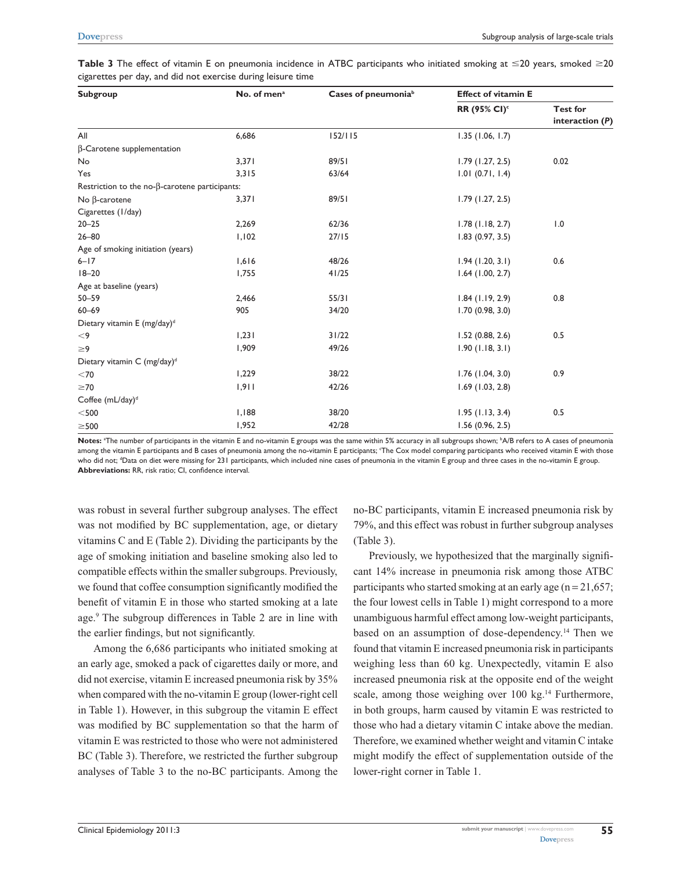|  |  |                                                              |  | Table 3 The effect of vitamin E on pneumonia incidence in ATBC participants who initiated smoking at $\leq$ 20 years, smoked $\geq$ 20 |  |  |  |  |
|--|--|--------------------------------------------------------------|--|----------------------------------------------------------------------------------------------------------------------------------------|--|--|--|--|
|  |  | cigarettes per day, and did not exercise during leisure time |  |                                                                                                                                        |  |  |  |  |

| Subgroup                                               | No. of men <sup>a</sup> | Cases of pneumonia <sup>b</sup> | <b>Effect of vitamin E</b> |                                    |  |
|--------------------------------------------------------|-------------------------|---------------------------------|----------------------------|------------------------------------|--|
|                                                        |                         |                                 | RR (95% CI) <sup>c</sup>   | <b>Test for</b><br>interaction (P) |  |
| All                                                    | 6,686                   | 152/115                         | 1.35(1.06, 1.7)            |                                    |  |
| $\beta$ -Carotene supplementation                      |                         |                                 |                            |                                    |  |
| No                                                     | 3,371                   | 89/51                           | 1.79(1.27, 2.5)            | 0.02                               |  |
| Yes                                                    | 3,315                   | 63/64                           | 1.01(0.71, 1.4)            |                                    |  |
| Restriction to the no- $\beta$ -carotene participants: |                         |                                 |                            |                                    |  |
| $No$ β-carotene                                        | 3,371                   | 89/51                           | 1.79(1.27, 2.5)            |                                    |  |
| Cigarettes (I/day)                                     |                         |                                 |                            |                                    |  |
| $20 - 25$                                              | 2,269                   | 62/36                           | $1.78$ (1.18, 2.7)         | 1.0                                |  |
| $26 - 80$                                              | 1,102                   | 27/15                           | 1.83(0.97, 3.5)            |                                    |  |
| Age of smoking initiation (years)                      |                         |                                 |                            |                                    |  |
| $6 - 17$                                               | 1,616                   | 48/26                           | 1.94(1.20, 3.1)            | 0.6                                |  |
| $18 - 20$                                              | 1,755                   | 41/25                           | $1.64$ (1.00, 2.7)         |                                    |  |
| Age at baseline (years)                                |                         |                                 |                            |                                    |  |
| $50 - 59$                                              | 2,466                   | 55/31                           | $1.84$ (1.19, 2.9)         | 0.8                                |  |
| $60 - 69$                                              | 905                     | 34/20                           | 1.70(0.98, 3.0)            |                                    |  |
| Dietary vitamin E (mg/day) <sup>d</sup>                |                         |                                 |                            |                                    |  |
| $<$ 9                                                  | 1,231                   | 31/22                           | 1.52(0.88, 2.6)            | 0.5                                |  |
| $\geq 9$                                               | 1,909                   | 49/26                           | 1.90(1.18, 3.1)            |                                    |  |
| Dietary vitamin C (mg/day) <sup>d</sup>                |                         |                                 |                            |                                    |  |
| $<$ 70                                                 | 1,229                   | 38/22                           | $1.76$ (1.04, 3.0)         | 0.9                                |  |
| $\geq 70$                                              | 1,911                   | 42/26                           | $1.69$ (1.03, 2.8)         |                                    |  |
| Coffee (mL/day) <sup>d</sup>                           |                         |                                 |                            |                                    |  |
| $<$ 500                                                | 1,188                   | 38/20                           | 1.95(1.13, 3.4)            | 0.5                                |  |
| $\geq$ 500                                             | 1,952                   | 42/28                           | 1.56(0.96, 2.5)            |                                    |  |

Notes: <sup>a</sup>The number of participants in the vitamin E and no-vitamin E groups was the same within 5% accuracy in all subgroups shown; <sup>b</sup>A/B refers to A cases of pneumonia among the vitamin E participants and B cases of pneumonia among the no-vitamin E participants; 'The Cox model comparing participants who received vitamin E with those who did not; <sup>d</sup>Data on diet were missing for 231 participants, which included nine cases of pneumonia in the vitamin E group and three cases in the no-vitamin E group. **Abbreviations:** RR, risk ratio; CI, confidence interval.

was robust in several further subgroup analyses. The effect was not modified by BC supplementation, age, or dietary vitamins C and E (Table 2). Dividing the participants by the age of smoking initiation and baseline smoking also led to compatible effects within the smaller subgroups. Previously, we found that coffee consumption significantly modified the benefit of vitamin E in those who started smoking at a late age.<sup>9</sup> The subgroup differences in Table 2 are in line with the earlier findings, but not significantly.

Among the 6,686 participants who initiated smoking at an early age, smoked a pack of cigarettes daily or more, and did not exercise, vitamin E increased pneumonia risk by 35% when compared with the no-vitamin E group (lower-right cell in Table 1). However, in this subgroup the vitamin E effect was modified by BC supplementation so that the harm of vitamin E was restricted to those who were not administered BC (Table 3). Therefore, we restricted the further subgroup analyses of Table 3 to the no-BC participants. Among the

no-BC participants, vitamin E increased pneumonia risk by 79%, and this effect was robust in further subgroup analyses (Table 3).

Previously, we hypothesized that the marginally significant 14% increase in pneumonia risk among those ATBC participants who started smoking at an early age  $(n = 21,657)$ ; the four lowest cells in Table 1) might correspond to a more unambiguous harmful effect among low-weight participants, based on an assumption of dose-dependency.14 Then we found that vitamin E increased pneumonia risk in participants weighing less than 60 kg. Unexpectedly, vitamin E also increased pneumonia risk at the opposite end of the weight scale, among those weighing over 100 kg.<sup>14</sup> Furthermore, in both groups, harm caused by vitamin E was restricted to those who had a dietary vitamin C intake above the median. Therefore, we examined whether weight and vitamin C intake might modify the effect of supplementation outside of the lower-right corner in Table 1.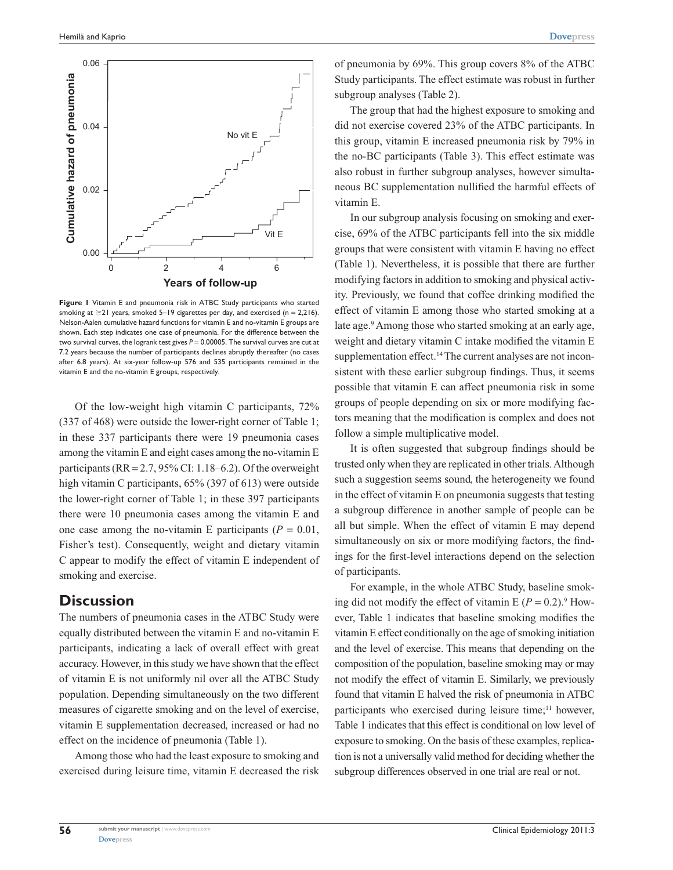

**Figure 1** Vitamin E and pneumonia risk in ATBC Study participants who started smoking at  $\geq$  21 years, smoked 5–19 cigarettes per day, and exercised (n = 2,216). Nelson-Aalen cumulative hazard functions for vitamin E and no-vitamin E groups are shown. Each step indicates one case of pneumonia. For the difference between the two survival curves, the logrank test gives  $P = 0.00005$ . The survival curves are cut at 7.2 years because the number of participants declines abruptly thereafter (no cases after 6.8 years). At six-year follow-up 576 and 535 participants remained in the vitamin E and the no-vitamin E groups, respectively.

Of the low-weight high vitamin C participants, 72% (337 of 468) were outside the lower-right corner of Table 1; in these 337 participants there were 19 pneumonia cases among the vitamin E and eight cases among the no-vitamin E participants ( $RR = 2.7$ ,  $95\%$  CI: 1.18–6.2). Of the overweight high vitamin C participants, 65% (397 of 613) were outside the lower-right corner of Table 1; in these 397 participants there were 10 pneumonia cases among the vitamin E and one case among the no-vitamin E participants ( $P = 0.01$ , Fisher's test). Consequently, weight and dietary vitamin C appear to modify the effect of vitamin E independent of smoking and exercise.

## **Discussion**

**56**

The numbers of pneumonia cases in the ATBC Study were equally distributed between the vitamin E and no-vitamin E participants, indicating a lack of overall effect with great accuracy. However, in this study we have shown that the effect of vitamin E is not uniformly nil over all the ATBC Study population. Depending simultaneously on the two different measures of cigarette smoking and on the level of exercise, vitamin E supplementation decreased, increased or had no effect on the incidence of pneumonia (Table 1).

Among those who had the least exposure to smoking and exercised during leisure time, vitamin E decreased the risk of pneumonia by 69%. This group covers 8% of the ATBC Study participants. The effect estimate was robust in further subgroup analyses (Table 2).

The group that had the highest exposure to smoking and did not exercise covered 23% of the ATBC participants. In this group, vitamin E increased pneumonia risk by 79% in the no-BC participants (Table 3). This effect estimate was also robust in further subgroup analyses, however simultaneous BC supplementation nullified the harmful effects of vitamin E.

In our subgroup analysis focusing on smoking and exercise, 69% of the ATBC participants fell into the six middle groups that were consistent with vitamin E having no effect (Table 1). Nevertheless, it is possible that there are further modifying factors in addition to smoking and physical activity. Previously, we found that coffee drinking modified the effect of vitamin E among those who started smoking at a late age.<sup>9</sup> Among those who started smoking at an early age, weight and dietary vitamin C intake modified the vitamin E supplementation effect.<sup>14</sup> The current analyses are not inconsistent with these earlier subgroup findings. Thus, it seems possible that vitamin E can affect pneumonia risk in some groups of people depending on six or more modifying factors meaning that the modification is complex and does not follow a simple multiplicative model.

It is often suggested that subgroup findings should be trusted only when they are replicated in other trials. Although such a suggestion seems sound, the heterogeneity we found in the effect of vitamin E on pneumonia suggests that testing a subgroup difference in another sample of people can be all but simple. When the effect of vitamin E may depend simultaneously on six or more modifying factors, the findings for the first-level interactions depend on the selection of participants.

For example, in the whole ATBC Study, baseline smoking did not modify the effect of vitamin  $E(P = 0.2)$ .<sup>9</sup> However, Table 1 indicates that baseline smoking modifies the vitamin E effect conditionally on the age of smoking initiation and the level of exercise. This means that depending on the composition of the population, baseline smoking may or may not modify the effect of vitamin E. Similarly, we previously found that vitamin E halved the risk of pneumonia in ATBC participants who exercised during leisure time; $<sup>11</sup>$  however,</sup> Table 1 indicates that this effect is conditional on low level of exposure to smoking. On the basis of these examples, replication is not a universally valid method for deciding whether the subgroup differences observed in one trial are real or not.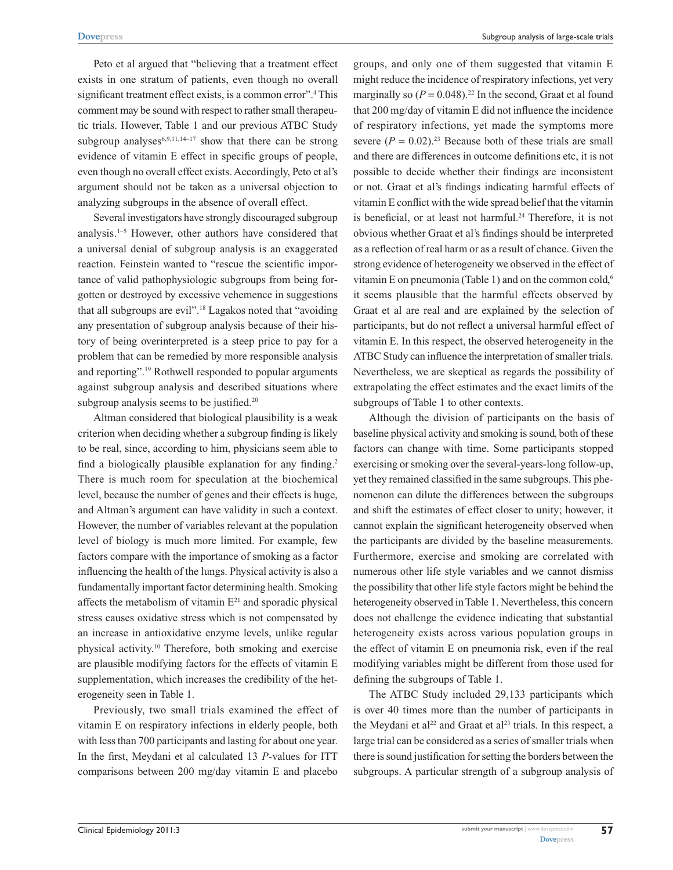Peto et al argued that "believing that a treatment effect exists in one stratum of patients, even though no overall significant treatment effect exists, is a common error".<sup>4</sup> This comment may be sound with respect to rather small therapeutic trials. However, Table 1 and our previous ATBC Study subgroup analyses $6,9,11,14-17$  show that there can be strong evidence of vitamin E effect in specific groups of people, even though no overall effect exists. Accordingly, Peto et al's argument should not be taken as a universal objection to analyzing subgroups in the absence of overall effect.

Several investigators have strongly discouraged subgroup analysis.1–5 However, other authors have considered that a universal denial of subgroup analysis is an exaggerated reaction. Feinstein wanted to "rescue the scientific importance of valid pathophysiologic subgroups from being forgotten or destroyed by excessive vehemence in suggestions that all subgroups are evil".18 Lagakos noted that "avoiding any presentation of subgroup analysis because of their history of being overinterpreted is a steep price to pay for a problem that can be remedied by more responsible analysis and reporting".19 Rothwell responded to popular arguments against subgroup analysis and described situations where subgroup analysis seems to be justified.<sup>20</sup>

Altman considered that biological plausibility is a weak criterion when deciding whether a subgroup finding is likely to be real, since, according to him, physicians seem able to find a biologically plausible explanation for any finding.<sup>2</sup> There is much room for speculation at the biochemical level, because the number of genes and their effects is huge, and Altman's argument can have validity in such a context. However, the number of variables relevant at the population level of biology is much more limited. For example, few factors compare with the importance of smoking as a factor influencing the health of the lungs. Physical activity is also a fundamentally important factor determining health. Smoking affects the metabolism of vitamin  $E^{21}$  and sporadic physical stress causes oxidative stress which is not compensated by an increase in antioxidative enzyme levels, unlike regular physical activity.10 Therefore, both smoking and exercise are plausible modifying factors for the effects of vitamin E supplementation, which increases the credibility of the heterogeneity seen in Table 1.

Previously, two small trials examined the effect of vitamin E on respiratory infections in elderly people, both with less than 700 participants and lasting for about one year. In the first, Meydani et al calculated 13 *P*-values for ITT comparisons between 200 mg/day vitamin E and placebo

groups, and only one of them suggested that vitamin E might reduce the incidence of respiratory infections, yet very marginally so  $(P = 0.048)$ .<sup>22</sup> In the second, Graat et al found that 200 mg/day of vitamin E did not influence the incidence of respiratory infections, yet made the symptoms more severe  $(P = 0.02)$ .<sup>23</sup> Because both of these trials are small and there are differences in outcome definitions etc, it is not possible to decide whether their findings are inconsistent or not. Graat et al's findings indicating harmful effects of vitamin E conflict with the wide spread belief that the vitamin is beneficial, or at least not harmful.<sup>24</sup> Therefore, it is not obvious whether Graat et al's findings should be interpreted as a reflection of real harm or as a result of chance. Given the strong evidence of heterogeneity we observed in the effect of vitamin E on pneumonia (Table 1) and on the common cold,<sup>6</sup> it seems plausible that the harmful effects observed by Graat et al are real and are explained by the selection of participants, but do not reflect a universal harmful effect of vitamin E. In this respect, the observed heterogeneity in the ATBC Study can influence the interpretation of smaller trials. Nevertheless, we are skeptical as regards the possibility of extrapolating the effect estimates and the exact limits of the subgroups of Table 1 to other contexts.

Although the division of participants on the basis of baseline physical activity and smoking is sound, both of these factors can change with time. Some participants stopped exercising or smoking over the several-years-long follow-up, yet they remained classified in the same subgroups. This phenomenon can dilute the differences between the subgroups and shift the estimates of effect closer to unity; however, it cannot explain the significant heterogeneity observed when the participants are divided by the baseline measurements. Furthermore, exercise and smoking are correlated with numerous other life style variables and we cannot dismiss the possibility that other life style factors might be behind the heterogeneity observed in Table 1. Nevertheless, this concern does not challenge the evidence indicating that substantial heterogeneity exists across various population groups in the effect of vitamin E on pneumonia risk, even if the real modifying variables might be different from those used for defining the subgroups of Table 1.

The ATBC Study included 29,133 participants which is over 40 times more than the number of participants in the Meydani et al<sup>22</sup> and Graat et al<sup>23</sup> trials. In this respect, a large trial can be considered as a series of smaller trials when there is sound justification for setting the borders between the subgroups. A particular strength of a subgroup analysis of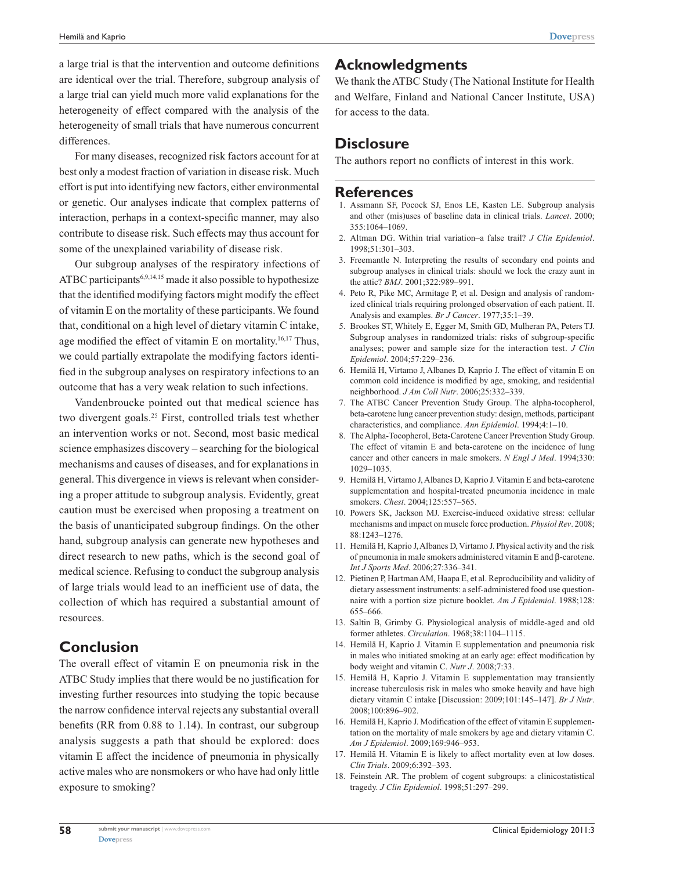a large trial is that the intervention and outcome definitions are identical over the trial. Therefore, subgroup analysis of a large trial can yield much more valid explanations for the heterogeneity of effect compared with the analysis of the heterogeneity of small trials that have numerous concurrent differences.

For many diseases, recognized risk factors account for at best only a modest fraction of variation in disease risk. Much effort is put into identifying new factors, either environmental or genetic. Our analyses indicate that complex patterns of interaction, perhaps in a context-specific manner, may also contribute to disease risk. Such effects may thus account for some of the unexplained variability of disease risk.

Our subgroup analyses of the respiratory infections of ATBC participants<sup>6,9,14,15</sup> made it also possible to hypothesize that the identified modifying factors might modify the effect of vitamin E on the mortality of these participants. We found that, conditional on a high level of dietary vitamin C intake, age modified the effect of vitamin E on mortality.<sup>16,17</sup> Thus, we could partially extrapolate the modifying factors identified in the subgroup analyses on respiratory infections to an outcome that has a very weak relation to such infections.

Vandenbroucke pointed out that medical science has two divergent goals.<sup>25</sup> First, controlled trials test whether an intervention works or not. Second, most basic medical science emphasizes discovery – searching for the biological mechanisms and causes of diseases, and for explanations in general. This divergence in views is relevant when considering a proper attitude to subgroup analysis. Evidently, great caution must be exercised when proposing a treatment on the basis of unanticipated subgroup findings. On the other hand, subgroup analysis can generate new hypotheses and direct research to new paths, which is the second goal of medical science. Refusing to conduct the subgroup analysis of large trials would lead to an inefficient use of data, the collection of which has required a substantial amount of resources.

## **Conclusion**

**58**

The overall effect of vitamin E on pneumonia risk in the ATBC Study implies that there would be no justification for investing further resources into studying the topic because the narrow confidence interval rejects any substantial overall benefits (RR from 0.88 to 1.14). In contrast, our subgroup analysis suggests a path that should be explored: does vitamin E affect the incidence of pneumonia in physically active males who are nonsmokers or who have had only little exposure to smoking?

## **Acknowledgments**

We thank the ATBC Study (The National Institute for Health and Welfare, Finland and National Cancer Institute, USA) for access to the data.

### **Disclosure**

The authors report no conflicts of interest in this work.

#### **References**

- 1. Assmann SF, Pocock SJ, Enos LE, Kasten LE. Subgroup analysis and other (mis)uses of baseline data in clinical trials. *Lancet*. 2000; 355:1064–1069.
- 2. Altman DG. Within trial variation–a false trail? *J Clin Epidemiol*. 1998;51:301–303.
- 3. Freemantle N. Interpreting the results of secondary end points and subgroup analyses in clinical trials: should we lock the crazy aunt in the attic? *BMJ*. 2001;322:989–991.
- 4. Peto R, Pike MC, Armitage P, et al. Design and analysis of randomized clinical trials requiring prolonged observation of each patient. II. Analysis and examples. *Br J Cancer*. 1977;35:1–39.
- 5. Brookes ST, Whitely E, Egger M, Smith GD, Mulheran PA, Peters TJ. Subgroup analyses in randomized trials: risks of subgroup-specific analyses; power and sample size for the interaction test. *J Clin Epidemiol*. 2004;57:229–236.
- 6. Hemilä H, Virtamo J, Albanes D, Kaprio J. The effect of vitamin E on common cold incidence is modified by age, smoking, and residential neighborhood. *J Am Coll Nutr*. 2006;25:332–339.
- 7. The ATBC Cancer Prevention Study Group. The alpha-tocopherol, beta-carotene lung cancer prevention study: design, methods, participant characteristics, and compliance. *Ann Epidemiol*. 1994;4:1–10.
- 8. The Alpha-Tocopherol, Beta-Carotene Cancer Prevention Study Group. The effect of vitamin E and beta-carotene on the incidence of lung cancer and other cancers in male smokers. *N Engl J Med*. 1994;330: 1029–1035.
- 9. Hemilä H, Virtamo J, Albanes D, Kaprio J. Vitamin E and beta-carotene supplementation and hospital-treated pneumonia incidence in male smokers. *Chest*. 2004;125:557–565.
- 10. Powers SK, Jackson MJ. Exercise-induced oxidative stress: cellular mechanisms and impact on muscle force production. *Physiol Rev*. 2008; 88:1243–1276.
- 11. Hemilä H, Kaprio J, Albanes D, Virtamo J. Physical activity and the risk of pneumonia in male smokers administered vitamin E and β-carotene. *Int J Sports Med*. 2006;27:336–341.
- 12. Pietinen P, Hartman AM, Haapa E, et al. Reproducibility and validity of dietary assessment instruments: a self-administered food use questionnaire with a portion size picture booklet. *Am J Epidemiol*. 1988;128: 655–666.
- 13. Saltin B, Grimby G. Physiological analysis of middle-aged and old former athletes. *Circulation*. 1968;38:1104–1115.
- 14. Hemilä H, Kaprio J. Vitamin E supplementation and pneumonia risk in males who initiated smoking at an early age: effect modification by body weight and vitamin C. *Nutr J*. 2008;7:33.
- 15. Hemilä H, Kaprio J. Vitamin E supplementation may transiently increase tuberculosis risk in males who smoke heavily and have high dietary vitamin C intake [Discussion: 2009;101:145–147]. *Br J Nutr*. 2008;100:896–902.
- 16. Hemilä H, Kaprio J. Modification of the effect of vitamin E supplementation on the mortality of male smokers by age and dietary vitamin C. *Am J Epidemiol*. 2009;169:946–953.
- 17. Hemilä H. Vitamin E is likely to affect mortality even at low doses. *Clin Trials*. 2009;6:392–393.
- 18. Feinstein AR. The problem of cogent subgroups: a clinicostatistical tragedy. *J Clin Epidemiol*. 1998;51:297–299.